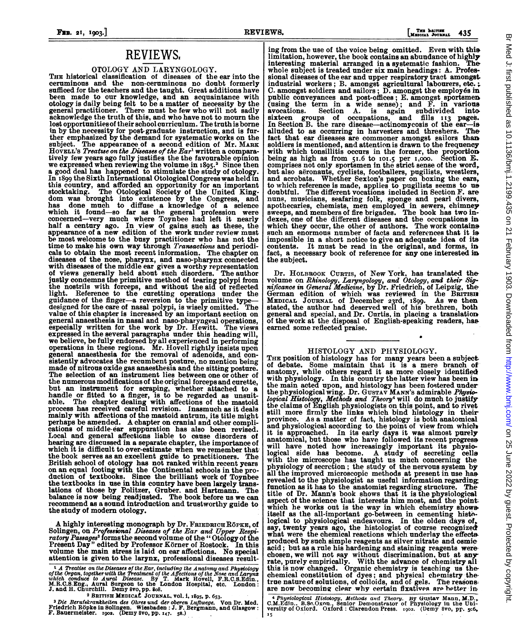#### **THE BAITIEE** 435

## REVIEWS.

# OTOLOGY AND LARYNGOLOGY. THE historical classification of diseases of the ear into the

ceruminous and the non-ceruminous no doubt formerly sufficed for the teachers and the taught. Great additions have been made to our knowledge, and an acquaintance with otology is daily being felt to be a matter of necessity by the general practitioner. There must be few who will not sadly acknowledge the truth of this, and who have not to mourn the lost opportunities of their school curr in by the necessity for post-graduate instruction, and is further emphasized by the demand for systematic works on the subject. The appearance of a second edition of Mr. MARK The appearance of a second edition of Mr. MARK HOVELL'S Treatuse on the Diseases of the Ear' written a comparatively few years ago fully justifies the the favourable opinion<br>we expressed when reviewing the volume in 1895.<sup>2</sup> Since then<br>a good deal has happened to stimulate the study of otology. In 1899 the Sixth International Otological Congress was held in<br>this country, and afforded an opportunity for an important<br>stocktaking. The Otological Society of the United King-<br>dom was brought into existence by the Congr half a century ago. In view of gains such as these, the appearance of a new edition of the work under review must be most welcome to the busy practitioner who has not the time to make his own way through Transactions and periodicals to obtain the most recent information. The chapter on diseases of the nose, pharynx, and naso-pharynx connected with diseases of the middle ear gives a worthy representation of views generally held about such disorders. The author justly condemns the primitive method of tearing polypi from<br>the nostrils with forceps, and without the aid of reflected<br>light. Reference to the curetting operations under the<br>guidance of the finger—a reversion to the primi designed for the care of nasal polypi, is wisely omitted. The value of this chapter is increased by an important section on general anaesthesia in nasal and naso-pharyngeal operations, especially written for the work by Dr. Hewitt. The views expressed in the several paragraphs under this heading will, we believe, be fully endorsed by all experienced in performing operations in these regions. Mr. Hovell rightly insists upon general anaesthesia for the removal of adenoids, and consistently advocates the recumbent posture, no mention being made of nitrous oxide gas anaesthesia and the sitting posture. The selection of an instrument lies between one or other of the numerous modifications of the original forceps and curette but an instrument for scraping, whether attached to a handle or fitted to a finger, is to be regarded as unsuit-able. The chapter dealing with affections of the mastoid process has received careful revision. Inasmuch as it mainly with affections of the mastoid antrum, its title might perhaps be amended. A chapter on cranial and other complications of middle ear suppuration has also been revised. Local and general affections liable to cause disorders of hearing are discussed in a separate chapter, the importance of which it is difficult to over-estimate when we remember that the book serves as an excellent guide to practitioners. The British school of otology has not ranked within recent years on an equal footing with the Continental schools in the production of textbooks. Since the brilliant work of Toynbee the textbooks in use in this country have been largely trans lations of those by Politzer, Gruber. and Hartmann. The balance is now being readjusted. The book before us we can recommend as a sound introduction and trustworthy guide to the study of modern otology.

A highly interesting monograph by Dr. FRIEDRICH RÖPKE, of Solingen, on Professional Diseases of the Ear and Upper Respiratory Passages<sup>3</sup> forms the second volume of the "Otology of the Present Day" edited by Professor Körner of Rostock. In this volume the main stress is laid on ear affections. No special attention is given to the larynx, professional diseases result-

 $\Lambda$   $\Lambda$  Treatise on the Diseases of the Ear, including the Anatomy and Physiology of the Organ, together with the Treatment of the Affections of the Nose and Larynx which conduce to Aural Disease. By T. Mark Hovell, F.R.C.S.Edn., M.R.C.S.Edg., Aural Surgeon to the London Hospital, etc. London: J. and H.

ing from the use of the voice being omitted. Even with this limitation, however, the book contains an abundance of highly interesting material arranged in a systematic fashion. The interesting material arranged in a systematic fashion. whole subject is treated under six main headings: A. Professional diseases of the ear and upper respiratory tract amongst-<br>industrial workers; B. amongst agricultural labourers, etc.;<br>C. amongst soldiers and sailors; D. amongst the employés in public conveyances and post-offices; E. amongst sportsmen (using the term in a wide sense); and F. in various<br>avocations. Section A. is again subdivided into<br>sixteen groups of occupations, and fills 113 pages.<br>In Section B. the rare disease—actinomycosis of the ear—is<br>alluded to fact that ear diseases are commoner amongst eailors than soldiers is mentioned, and attention is drawn to the frequency<br>with which tonsillitis occurs in the former, the proportion being as high as from 51.6 to 101.5 per 1,000. Section E.<br>comprises not only sportsmen in the strict sense of the word, but also aëronauts, cyclists, footballers, pugilists, wreatlers,<br>and acrobats. Whether Sexton's paper on boxing the ears,<br>to which reference is made, applies to pugilists seems to us<br>doubtful. The different vocations inclu nuns, musicians, seafaring folk, sponge and pearl divers, apothecaries, chemists, men employed in sewers, chimney sweeps, and members of fire brigades. The book has two in-dexes, one of the different diseases and the occupations in which they occur, the other of authors. The work contains such an enormous number of facts and references that it is impossible in a short notice to give an adequate idea of its contents. It must be read in the original, and forms, in fact, a necessary book of reference for any one interested in the subject.

Dr. HOLBROOK CURTIS, of New York, has translated the volume on Rhinology, Laryngology, and Otology, and their Sig-<br>nificance in General Medicine, by Dr. Friedrich, of Leipzig, the<br>German edition of which was reviewed in the BRITISH MEDICAL JOURNAL of December 23rd, I899. As we then stated, the author had deserved well of his brethren, both general and special, and Dr. Curtis, in placing a translation of the work at the disposal of English-speaking readers, has earned some reflected praise.

#### HISTOLOGY AND PHYSIOLOGY.

THE position of histology has for many years been a subject. of debate. Some maintain that it is a mere branch of anatomy, while others regard it as more closely identified with physiology. In this country the latter view has been in the main acted upon, and histology has been fostered under the physiological wing. Dr. Gustav Mann's admirable *Physiological Histology, Methods and Theory*<sup>4</sup> will do much to justify the claims of English physiologists on this point, and to rivet still more firmly the links which bind histology in their province. As a matter of fact, histology is both anatomical and physiological according to the point of view from which it is approached. In its early days it was almost purely anatomical, but those who have followed its recent progress will have noted how increasingly important its physio-logical side has become. A study of secreting cells with the microscope has taught us much concerning the physiology of secrction; the study of the nervous system by all the improved microscopic methods at present in use has revealed to the physiologist as useful information regarding revealed to the physiologist as useful information regarding<br>function as it has to the anatomist regarding structure. The<br>title of Dr. Mann's book shows that it is the physiological<br>aspect of the science that interests him which he works out is the way in which chemistry shows itself as the all-important go-between in cementing histological to physiological endeavours. In the olden days of, say, twenty years ago, the histologist of course recognized what were the chemical reactions which underlay the effects. produced by such simple reagents as silver nitrate and osmie acid; but as a rule his hardening and staining reagents were chosen, we will not say without discrimination, but at any-<br>rate, purely empirically. With the advance of chemistry all<br>this is now changed. Organic chemistry is teaching us thechemical constitution of dyes; and physical chemistry thetrue nature of solutions, of colloids, and of gels. The reasons, are now becoming clear why certain fixatives are better in

<sup>4</sup> Physiological Histology, Methods and Theory. By Gustav Mann, M.D., C.M.Edin.. B.Se.Oxnn, etc...<br>C.M.Edin.. B.Se.Oxnn., Senior Demonstrator of Physiology in the Ubi-<br>versity of Oxford. Oxford: Clarendon Press. 1902. (Demy